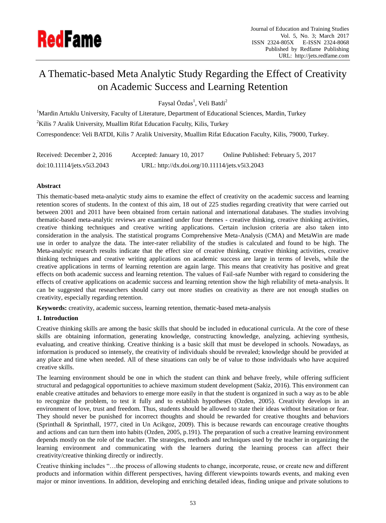

# A Thematic-based Meta Analytic Study Regarding the Effect of Creativity on Academic Success and Learning Retention

Faysal Özdas<sup>1</sup>, Veli Batdi<sup>2</sup>

<sup>1</sup>Mardin Artuklu University, Faculty of Literature, Department of Educational Sciences, Mardin, Turkey  ${}^{2}$ Kilis 7 Aralik University, Muallim Rifat Education Faculty, Kilis, Turkey Correspondence: Veli BATDI, Kilis 7 Aralik University, Muallim Rifat Education Faculty, Kilis, 79000, Turkey.

| Received: December 2, 2016  | Accepted: January 10, 2017                     | Online Published: February 5, 2017 |
|-----------------------------|------------------------------------------------|------------------------------------|
| doi:10.11114/jets.v5i3.2043 | URL: http://dx.doi.org/10.11114/jets.v5i3.2043 |                                    |

# **Abstract**

This thematic-based meta-analytic study aims to examine the effect of creativity on the academic success and learning retention scores of students. In the context of this aim, 18 out of 225 studies regarding creativity that were carried out between 2001 and 2011 have been obtained from certain national and international databases. The studies involving thematic-based meta-analytic reviews are examined under four themes - creative thinking, creative thinking activities, creative thinking techniques and creative writing applications. Certain inclusion criteria are also taken into consideration in the analysis. The statistical programs Comprehensive Meta-Analysis (CMA) and MetaWin are made use in order to analyze the data. The inter-rater reliability of the studies is calculated and found to be high. The Meta-analytic research results indicate that the effect size of creative thinking, creative thinking activities, creative thinking techniques and creative writing applications on academic success are large in terms of levels, while the creative applications in terms of learning retention are again large. This means that creativity has positive and great effects on both academic success and learning retention. The values of Fail-safe Number with regard to considering the effects of creative applications on academic success and learning retention show the high reliability of meta-analysis. It can be suggested that researchers should carry out more studies on creativity as there are not enough studies on creativity, especially regarding retention.

**Keywords:** creativity, academic success, learning retention, thematic-based meta-analysis

## **1. Introduction**

Creative thinking skills are among the basic skills that should be included in educational curricula. At the core of these skills are obtaining information, generating knowledge, constructing knowledge, analyzing, achieving synthesis, evaluating, and creative thinking. Creative thinking is a basic skill that must be developed in schools. Nowadays, as information is produced so intensely, the creativity of individuals should be revealed; knowledge should be provided at any place and time when needed. All of these situations can only be of value to those individuals who have acquired creative skills.

The learning environment should be one in which the student can think and behave freely, while offering sufficient structural and pedagogical opportunities to achieve maximum student development (Sakiz, 2016). This environment can enable creative attitudes and behaviors to emerge more easily in that the student is organized in such a way as to be able to recognize the problem, to test it fully and to establish hypotheses (Ozden, 2005). Creativity develops in an environment of love, trust and freedom. Thus, students should be allowed to state their ideas without hesitation or fear. They should never be punished for incorrect thoughts and should be rewarded for creative thoughts and behaviors (Sprinthall & Sprinthall, 1977, cited in Un Acikgoz, 2009). This is because rewards can encourage creative thoughts and actions and can turn them into habits (Ozden, 2005, p.191). The preparation of such a creative learning environment depends mostly on the role of the teacher. The strategies, methods and techniques used by the teacher in organizing the learning environment and communicating with the learners during the learning process can affect their creativity/creative thinking directly or indirectly.

Creative thinking includes "…the process of allowing students to change, incorporate, reuse, or create new and different products and information within different perspectives, having different viewpoints towards events, and making even major or minor inventions. In addition, developing and enriching detailed ideas, finding unique and private solutions to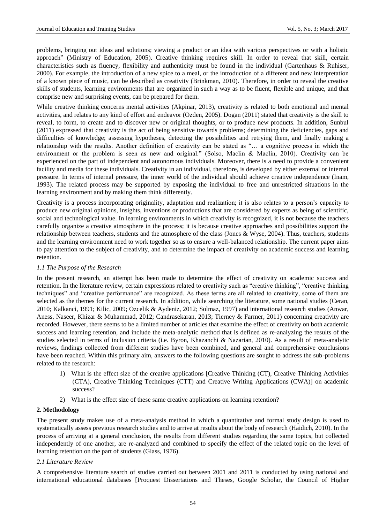problems, bringing out ideas and solutions; viewing a product or an idea with various perspectives or with a holistic approach" (Ministry of Education, 2005). Creative thinking requires skill. In order to reveal that skill, certain characteristics such as fluency, flexibility and authenticity must be found in the individual (Gartenhaus & Ruhiser, 2000). For example, the introduction of a new spice to a meal, or the introduction of a different and new interpretation of a known piece of music, can be described as creativity (Brinkman, 2010). Therefore, in order to reveal the creative skills of students, learning environments that are organized in such a way as to be fluent, flexible and unique, and that comprise new and surprising events, can be prepared for them.

While creative thinking concerns mental activities (Akpinar, 2013), creativity is related to both emotional and mental activities, and relates to any kind of effort and endeavor (Ozden, 2005). Dogan (2011) stated that creativity is the skill to reveal, to form, to create and to discover new or original thoughts, or to produce new products. In addition, Sunbul (2011) expressed that creativity is the act of being sensitive towards problems; determining the deficiencies, gaps and difficulties of knowledge; assessing hypotheses, detecting the possibilities and retrying them, and finally making a relationship with the results. Another definition of creativity can be stated as "… a cognitive process in which the environment or the problem is seen as new and original." (Solso, Maclin & Maclin, 2010). Creativity can be experienced on the part of independent and autonomous individuals. Moreover, there is a need to provide a convenient facility and media for these individuals. Creativity in an individual, therefore, is developed by either external or internal pressure. In terms of internal pressure, the inner world of the individual should achieve creative independence (Inam, 1993). The related process may be supported by exposing the individual to free and unrestricted situations in the learning environment and by making them think differently.

Creativity is a process incorporating originality, adaptation and realization; it is also relates to a person's capacity to produce new original opinions, insights, inventions or productions that are considered by experts as being of scientific, social and technological value. In learning environments in which creativity is recognized, it is not because the teachers carefully organize a creative atmosphere in the process; it is because creative approaches and possibilities support the relationship between teachers, students and the atmosphere of the class (Jones & Wyse, 2004). Thus, teachers, students and the learning environment need to work together so as to ensure a well-balanced relationship. The current paper aims to pay attention to the subject of creativity, and to determine the impact of creativity on academic success and learning retention.

## *1.1 The Purpose of the Research*

In the present research, an attempt has been made to determine the effect of creativity on academic success and retention. In the literature review, certain expressions related to creativity such as "creative thinking", "creative thinking techniques" and "creative performance" are recognized. As these terms are all related to creativity, some of them are selected as the themes for the current research. In addition, while searching the literature, some national studies (Ceran, 2010; Kalkanci, 1991; Kilic, 2009; Ozcelik & Aydeniz, 2012; Solmaz, 1997) and international research studies (Anwar, Aness, Naseer, Khizar & Muhammad, 2012; Candrasekaran, 2013; Tierney & Farmer, 2011) concerning creativity are recorded. However, there seems to be a limited number of articles that examine the effect of creativity on both academic success and learning retention, and include the meta-analytic method that is defined as re-analyzing the results of the studies selected in terms of inclusion criteria (i.e. Byron, Khazanchi & Nazarian, 2010). As a result of meta-analytic reviews, findings collected from different studies have been combined, and general and comprehensive conclusions have been reached. Within this primary aim, answers to the following questions are sought to address the sub-problems related to the research:

- 1) What is the effect size of the creative applications [Creative Thinking (CT), Creative Thinking Activities (CTA), Creative Thinking Techniques (CTT) and Creative Writing Applications (CWA)] on academic success?
- 2) What is the effect size of these same creative applications on learning retention?

## **2. Methodology**

The present study makes use of a meta-analysis method in which a quantitative and formal study design is used to systematically assess previous research studies and to arrive at results about the body of research (Haidich, 2010). In the process of arriving at a general conclusion, the results from different studies regarding the same topics, but collected independently of one another, are re-analyzed and combined to specify the effect of the related topic on the level of learning retention on the part of students (Glass, 1976).

#### *2.1 Literature Review*

A comprehensive literature search of studies carried out between 2001 and 2011 is conducted by using national and international educational databases [Proquest Dissertations and Theses, Google Scholar, the Council of Higher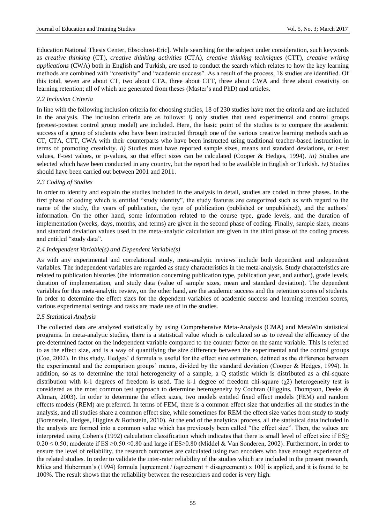Education National Thesis Center, Ebscohost-Eric]. While searching for the subject under consideration, such keywords as *creative thinking* (CT), *creative thinking activities* (CTA), *creative thinking techniques* (CTT), *creative writing applications* (CWA) both in English and Turkish, are used to conduct the search which relates to how the key learning methods are combined with "creativity" and "academic success". As a result of the process, 18 studies are identified. Of this total, seven are about CT, two about CTA, three about CTT, three about CWA and three about creativity on learning retention; all of which are generated from theses (Master's and PhD) and articles.

## *2.2 Inclusion Criteria*

In line with the following inclusion criteria for choosing studies, 18 of 230 studies have met the criteria and are included in the analysis. The inclusion criteria are as follows: *i)* only studies that used experimental and control groups (pretest-posttest control group model) are included. Here, the basic point of the studies is to compare the academic success of a group of students who have been instructed through one of the various creative learning methods such as CT, CTA, CTT, CWA with their counterparts who have been instructed using traditional teacher-based instruction in terms of promoting creativity. *ii)* Studies must have reported sample sizes, means and standard deviations, or t-test values, F-test values, or p-values, so that effect sizes can be calculated (Cooper & Hedges, 1994). *iii)* Studies are selected which have been conducted in any country, but the report had to be available in English or Turkish. *iv)* Studies should have been carried out between 2001 and 2011.

# *2.3 Coding of Studies*

In order to identify and explain the studies included in the analysis in detail, studies are coded in three phases. In the first phase of coding which is entitled "study identity", the study features are categorized such as with regard to the name of the study, the years of publication, the type of publication (published or unpublished), and the authors' information. On the other hand, some information related to the course type, grade levels, and the duration of implementation (weeks, days, months, and terms) are given in the second phase of coding. Finally, sample sizes, means and standard deviation values used in the meta-analytic calculation are given in the third phase of the coding process and entitled "study data".

## *2.4 Independent Variable(s) and Dependent Variable(s)*

As with any experimental and correlational study, meta-analytic reviews include both dependent and independent variables. The independent variables are regarded as study characteristics in the meta-analysis. Study characteristics are related to publication histories (the information concerning publication type, publication year, and author), grade levels, duration of implementation, and study data (value of sample sizes, mean and standard deviation). The dependent variables for this meta-analytic review, on the other hand, are the academic success and the retention scores of students. In order to determine the effect sizes for the dependent variables of academic success and learning retention scores, various experimental settings and tasks are made use of in the studies.

## *2.5 Statistical Analysis*

The collected data are analyzed statistically by using Comprehensive Meta-Analysis (CMA) and MetaWin statistical programs. In meta-analytic studies, there is a statistical value which is calculated so as to reveal the efficiency of the pre-determined factor on the independent variable compared to the counter factor on the same variable. This is referred to as the effect size, and is a way of quantifying the size difference between the experimental and the control groups (Coe, 2002). In this study, Hedges' d formula is useful for the effect size estimation, defined as the difference between the experimental and the comparison groups' means, divided by the standard deviation (Cooper & Hedges, 1994). In addition, so as to determine the total heterogeneity of a sample, a Q statistic which is distributed as a chi-square distribution with k-1 degrees of freedom is used. The k-1 degree of freedom chi-square (χ2) heterogeneity test is considered as the most common test approach to determine heterogeneity by Cochran (Higgins, Thompson, Deeks & Altman, 2003). In order to determine the effect sizes, two models entitled fixed effect models (FEM) and random effects models (REM) are preferred. In terms of FEM, there is a common effect size that underlies all the studies in the analysis, and all studies share a common effect size, while sometimes for REM the effect size varies from study to study (Borenstein, Hedges, Higgins & Rothstein, 2010). At the end of the analytical process, all the statistical data included in the analysis are formed into a common value which has previously been called "the effect size". Then, the values are interpreted using Cohen's (1992) calculation classification which indicates that there is small level of effect size if ES≥  $0.20 \le 0.50$ ; moderate if ES  $\ge 0.50 \le 0.80$  and large if ES  $\ge 0.80$  (Middel & Van Sonderen, 2002). Furthermore, in order to ensure the level of reliability, the research outcomes are calculated using two encoders who have enough experience of the related studies. In order to validate the inter-rater reliability of the studies which are included in the present research, Miles and Huberman's (1994) formula [agreement / (agreement + disagreement) x 100] is applied, and it is found to be 100%. The result shows that the reliability between the researchers and coder is very high.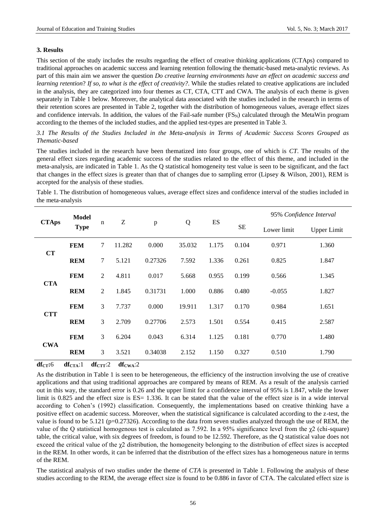#### **3. Results**

This section of the study includes the results regarding the effect of creative thinking applications (CTAps) compared to traditional approaches on academic success and learning retention following the thematic-based meta-analytic reviews. As part of this main aim we answer the question *Do creative learning environments have an effect on academic success and learning retention*? *If so, to what is the effect of creativity?*. While the studies related to creative applications are included in the analysis, they are categorized into four themes as CT, CTA, CTT and CWA. The analysis of each theme is given separately in Table 1 below. Moreover, the analytical data associated with the studies included in the research in terms of their retention scores are presented in Table 2, together with the distribution of homogeneous values, average effect sizes and confidence intervals. In addition, the values of the Fail-safe number  $(FS_N)$  calculated through the MetaWin program according to the themes of the included studies, and the applied test-types are presented in Table 3.

# *3.1 The Results of the Studies Included in the Meta-analysis in Terms of Academic Success Scores Grouped as Thematic-based*

The studies included in the research have been thematized into four groups, one of which is *CT*. The results of the general effect sizes regarding academic success of the studies related to the effect of this theme, and included in the meta-analysis, are indicated in Table 1. As the Q statistical homogeneity test value is seen to be significant, and the fact that changes in the effect sizes is greater than that of changes due to sampling error (Lipsey & Wilson, 2001), REM is accepted for the analysis of these studies.

Table 1. The distribution of homogeneous values, average effect sizes and confidence interval of the studies included in the meta-analysis

| <b>CTAps</b> | Model<br><b>Type</b> | $\mathbf n$    | Z      | $\, {\bf p}$ | Q      | ES    |           | 95% Confidence Interval |                    |  |
|--------------|----------------------|----------------|--------|--------------|--------|-------|-----------|-------------------------|--------------------|--|
|              |                      |                |        |              |        |       | <b>SE</b> | Lower limit             | <b>Upper Limit</b> |  |
| CT           | <b>FEM</b>           | $\tau$         | 11.282 | 0.000        | 35.032 | 1.175 | 0.104     | 0.971                   | 1.360              |  |
|              | <b>REM</b>           | 7              | 5.121  | 0.27326      | 7.592  | 1.336 | 0.261     | 0.825                   | 1.847              |  |
| <b>CTA</b>   | <b>FEM</b>           | $\overline{2}$ | 4.811  | 0.017        | 5.668  | 0.955 | 0.199     | 0.566                   | 1.345              |  |
|              | <b>REM</b>           | $\overline{2}$ | 1.845  | 0.31731      | 1.000  | 0.886 | 0.480     | $-0.055$                | 1.827              |  |
| <b>CTT</b>   | <b>FEM</b>           | 3              | 7.737  | 0.000        | 19.911 | 1.317 | 0.170     | 0.984                   | 1.651              |  |
|              | <b>REM</b>           | 3              | 2.709  | 0.27706      | 2.573  | 1.501 | 0.554     | 0.415                   | 2.587              |  |
| <b>CWA</b>   | <b>FEM</b>           | 3              | 6.204  | 0.043        | 6.314  | 1.125 | 0.181     | 0.770                   | 1.480              |  |
|              | <b>REM</b>           | 3              | 3.521  | 0.34038      | 2.152  | 1.150 | 0.327     | 0.510                   | 1.790              |  |

 $df_{CT}$ :6  $df_{CTA}$ :1  $df_{CTT}$ :2  $df_{CWA}$ :2

As the distribution in Table 1 is seen to be heterogeneous, the efficiency of the instruction involving the use of creative applications and that using traditional approaches are compared by means of REM. As a result of the analysis carried out in this way, the standard error is 0.26 and the upper limit for a confidence interval of 95% is 1.847, while the lower limit is 0.825 and the effect size is ES= 1.336. It can be stated that the value of the effect size is in a wide interval according to Cohen's (1992) classification. Consequently, the implementations based on creative thinking have a positive effect on academic success. Moreover, when the statistical significance is calculated according to the z-test, the value is found to be 5.121 (p=0.27326). According to the data from seven studies analyzed through the use of REM, the value of the Q statistical homogenous test is calculated as 7.592. In a 95% significance level from the  $\chi^2$  (chi-square) table, the critical value, with six degrees of freedom, is found to be 12.592. Therefore, as the Q statistical value does not exceed the critical value of the  $\chi$ 2 distribution, the homogeneity belonging to the distribution of effect sizes is accepted in the REM. In other words, it can be inferred that the distribution of the effect sizes has a homogeneous nature in terms of the REM.

The statistical analysis of two studies under the theme of *CTA* is presented in Table 1. Following the analysis of these studies according to the REM, the average effect size is found to be 0.886 in favor of CTA. The calculated effect size is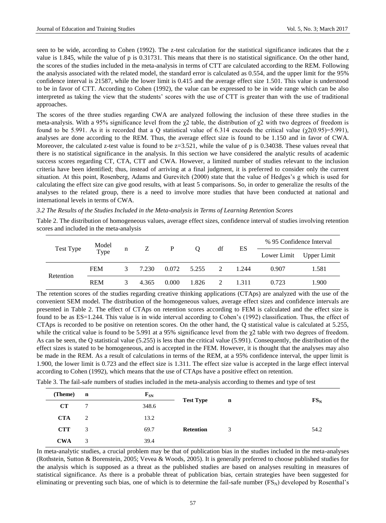seen to be wide, according to Cohen (1992). The z-test calculation for the statistical significance indicates that the z value is 1.845, while the value of p is 0.31731. This means that there is no statistical significance. On the other hand, the scores of the studies included in the meta-analysis in terms of CTT are calculated according to the REM. Following the analysis associated with the related model, the standard error is calculated as 0.554, and the upper limit for the 95% confidence interval is 21587, while the lower limit is 0.415 and the average effect size 1.501. This value is understood to be in favor of CTT. According to Cohen (1992), the value can be expressed to be in wide range which can be also interpreted as taking the view that the students' scores with the use of CTT is greater than with the use of traditional approaches.

The scores of the three studies regarding CWA are analyzed following the inclusion of these three studies in the meta-analysis. With a 95% significance level from the  $χ$ 2 table, the distribution of  $χ$ 2 with two degrees of freedom is found to be 5.991. As it is recorded that a Q statistical value of 6.314 exceeds the critical value (χ2(0.95)=5.991), analyses are done according to the REM. Thus, the average effect size is found to be 1.150 and in favor of CWA. Moreover, the calculated z-test value is found to be  $z=3.521$ , while the value of p is 0.34038. These values reveal that there is no statistical significance in the analysis. In this section we have considered the analytic results of academic success scores regarding CT, CTA, CTT and CWA. However, a limited number of studies relevant to the inclusion criteria have been identified; thus, instead of arriving at a final judgment, it is preferred to consider only the current situation. At this point, Rosenberg, Adams and Gurevitch (2000) state that the value of Hedges's g which is used for calculating the effect size can give good results, with at least 5 comparisons. So, in order to generalize the results of the analyses to the related group, there is a need to involve more studies that have been conducted at national and international levels in terms of CWA.

#### *3.2 The Results of the Studies Included in the Meta-analysis in Terms of Learning Retention Scores*

Table 2. The distribution of homogeneous values, average effect sizes, confidence interval of studies involving retention scores and included in the meta-analysis

| Test Type | Model<br>Type | n        | Z     | P     | O     | df | ES    | % 95 Confidence Interval |             |
|-----------|---------------|----------|-------|-------|-------|----|-------|--------------------------|-------------|
|           |               |          |       |       |       |    |       | Lower Limit              | Upper Limit |
| Retention | <b>FEM</b>    | 3        | 7.230 | 0.072 | 5.255 | 2  | 1.244 | 0.907                    | 1.581       |
|           | <b>REM</b>    | $\Delta$ | 4.365 | 0.000 | 1.826 |    | 1.311 | 0.723                    | 1.900       |

The retention scores of the studies regarding creative thinking applications (CTAps) are analyzed with the use of the convenient SEM model. The distribution of the homogeneous values, average effect sizes and confidence intervals are presented in Table 2. The effect of CTAps on retention scores according to FEM is calculated and the effect size is found to be as ES=1.244. This value is in wide interval according to Cohen's (1992) classification. Thus, the effect of CTAps is recorded to be positive on retention scores. On the other hand, the Q statistical value is calculated at 5.255, while the critical value is found to be 5.991 at a 95% significance level from the  $\gamma$ 2 table with two degrees of freedom. As can be seen, the Q statistical value (5.255) is less than the critical value (5.991). Consequently, the distribution of the effect sizes is stated to be homogeneous, and is accepted in the FEM. However, it is thought that the analyses may also be made in the REM. As a result of calculations in terms of the REM, at a 95% confidence interval, the upper limit is 1.900, the lower limit is 0.723 and the effect size is 1.311. The effect size value is accepted in the large effect interval according to Cohen (1992), which means that the use of CTAps have a positive effect on retention.

Table 3. The fail-safe numbers of studies included in the meta-analysis according to themes and type of test

| (Theme)    | $\mathbf{n}$ | $\mathbf{F}_{\text{SN}}$ | <b>Test Type</b> |   | $\mathbf{n}$ |        |
|------------|--------------|--------------------------|------------------|---|--------------|--------|
| CT         | 7            | 348.6                    |                  |   |              | $FS_N$ |
| <b>CTA</b> | 2            | 13.2                     |                  |   |              |        |
| <b>CTT</b> | 3            | 69.7                     | <b>Retention</b> | 3 |              | 54.2   |
| <b>CWA</b> | 3            | 39.4                     |                  |   |              |        |

In meta-analytic studies, a crucial problem may be that of publication bias in the studies included in the meta-analyses (Rothstein, Sutton & Borenstein, 2005; Vevea & Woods, 2005). It is generally preferred to choose published studies for the analysis which is supposed as a threat as the published studies are based on analyses resulting in measures of statistical significance. As there is a probable threat of publication bias, certain strategies have been suggested for eliminating or preventing such bias, one of which is to determine the fail-safe number  $(FS_N)$  developed by Rosenthal's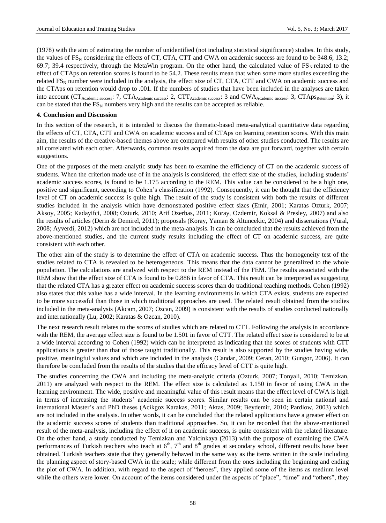(1978) with the aim of estimating the number of unidentified (not including statistical significance) studies. In this study, the values of  $FS_N$  considering the effects of CT, CTA, CTT and CWA on academic success are found to be 348.6; 13.2; 69.7; 39.4 respectively, through the MetaWin program. On the other hand, the calculated value of  $FS_N$  related to the effect of CTAps on retention scores is found to be 54.2. These results mean that when some more studies exceeding the related  $FS_N$  number were included in the analysis, the effect size of CT, CTA, CTT and CWA on academic success and the CTAps on retention would drop to .001. If the numbers of studies that have been included in the analyses are taken into account (CT<sub>Academic success</sub>: 7, CTA<sub>Academic success</sub>: 2, CTT<sub>Academic success</sub>: 3 and CWA<sub>Academic success</sub>: 3, CTApsRetention: 3), it can be stated that the  $FS_N$  numbers very high and the results can be accepted as reliable.

#### **4. Conclusion and Discussion**

In this section of the research, it is intended to discuss the thematic-based meta-analytical quantitative data regarding the effects of CT, CTA, CTT and CWA on academic success and of CTAps on learning retention scores. With this main aim, the results of the creative-based themes above are compared with results of other studies conducted. The results are all correlated with each other. Afterwards, common results acquired from the data are put forward, together with certain suggestions.

One of the purposes of the meta-analytic study has been to examine the efficiency of CT on the academic success of students. When the criterion made use of in the analysis is considered, the effect size of the studies, including students' academic success scores, is found to be 1.175 according to the REM. This value can be considered to be a high one, positive and significant, according to Cohen's classification (1992). Consequently, it can be thought that the efficiency level of CT on academic success is quite high. The result of the study is consistent with both the results of different studies included in the analysis which have demonstrated positive effect sizes (Emir, 2001; Karatas Ozturk, 2007; Aksoy, 2005; Kadayifci, 2008; Ozturk, 2010; Arif Ozerbas, 2011; Koray, Ozdemir, Koksal & Presley, 2007) and also the results of articles (Derin & Demirel, 2011); proposals (Koray, Yaman & Altuncekic, 2004) and dissertations (Vural, 2008; Ayverdi, 2012) which are not included in the meta-analysis. It can be concluded that the results achieved from the above-mentioned studies, and the current study results including the effect of CT on academic success, are quite consistent with each other.

The other aim of the study is to determine the effect of CTA on academic success. Thus the homogeneity test of the studies related to CTA is revealed to be heterogeneous. This means that the data cannot be generalized to the whole population. The calculations are analyzed with respect to the REM instead of the FEM. The results associated with the REM show that the effect size of CTA is found to be 0.886 in favor of CTA. This result can be interpreted as suggesting that the related CTA has a greater effect on academic success scores than do traditional teaching methods. Cohen (1992) also states that this value has a wide interval. In the learning environments in which CTA exists, students are expected to be more successful than those in which traditional approaches are used. The related result obtained from the studies included in the meta-analysis (Akcam, 2007; Ozcan, 2009) is consistent with the results of studies conducted nationally and internationally (Lu, 2002; Karatas & Ozcan, 2010).

The next research result relates to the scores of studies which are related to CTT. Following the analysis in accordance with the REM, the average effect size is found to be 1.501 in favor of CTT. The related effect size is considered to be at a wide interval according to Cohen (1992) which can be interpreted as indicating that the scores of students with CTT applications is greater than that of those taught traditionally. This result is also supported by the studies having wide, positive, meaningful values and which are included in the analysis (Candar, 2009; Ceran, 2010; Gungor, 2006). It can therefore be concluded from the results of the studies that the efficacy level of CTT is quite high.

The studies concerning the CWA and including the meta-analytic criteria (Ozturk, 2007; Tonyali, 2010; Temizkan, 2011) are analyzed with respect to the REM. The effect size is calculated as 1.150 in favor of using CWA in the learning environment. The wide, positive and meaningful value of this result means that the effect level of CWA is high in terms of increasing the students' academic success scores. Similar results can be seen in certain national and international Master's and PhD theses (Acikgoz Karakas, 2011; Aktas, 2009; Beydemir, 2010; Pardlow, 2003) which are not included in the analysis. In other words, it can be concluded that the related applications have a greater effect on the academic success scores of students than traditional approaches. So, it can be recorded that the above-mentioned result of the meta-analysis, including the effect of it on academic success, is quite consistent with the related literature. On the other hand, a study conducted by Temizkan and Yalcinkaya (2013) with the purpose of examining the CWA performances of Turkish teachers who teach at  $6<sup>th</sup>$ ,  $7<sup>th</sup>$  and  $8<sup>th</sup>$  grades at secondary school, different results have been obtained. Turkish teachers state that they generally behaved in the same way as the items written in the scale including the planning aspect of story-based CWA in the scale; while different from the ones including the beginning and ending the plot of CWA. In addition, with regard to the aspect of "heroes", they applied some of the items as medium level while the others were lower. On account of the items considered under the aspects of "place", "time" and "others", they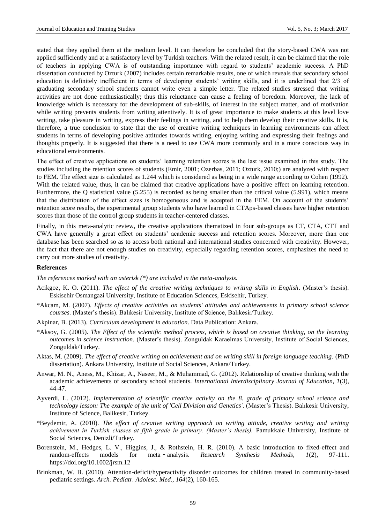stated that they applied them at the medium level. It can therefore be concluded that the story-based CWA was not applied sufficiently and at a satisfactory level by Turkish teachers. With the related result, it can be claimed that the role of teachers in applying CWA is of outstanding importance with regard to students' academic success. A PhD dissertation conducted by Ozturk (2007) includes certain remarkable results, one of which reveals that secondary school education is definitely inefficient in terms of developing students' writing skills, and it is underlined that 2/3 of graduating secondary school students cannot write even a simple letter. The related studies stressed that writing activities are not done enthusiastically; thus this reluctance can cause a feeling of boredom. Moreover, the lack of knowledge which is necessary for the development of sub-skills, of interest in the subject matter, and of motivation while writing prevents students from writing attentively. It is of great importance to make students at this level love writing, take pleasure in writing, express their feelings in writing, and to help them develop their creative skills. It is, therefore, a true conclusion to state that the use of creative writing techniques in learning environments can affect students in terms of developing positive attitudes towards writing, enjoying writing and expressing their feelings and thoughts properly. It is suggested that there is a need to use CWA more commonly and in a more conscious way in educational environments.

The effect of creative applications on students' learning retention scores is the last issue examined in this study. The studies including the retention scores of students (Emir, 2001; Ozerbas, 2011; Ozturk, 2010;) are analyzed with respect to FEM. The effect size is calculated as 1.244 which is considered as being in a wide range according to Cohen (1992). With the related value, thus, it can be claimed that creative applications have a positive effect on learning retention. Furthermore, the Q statistical value (5.255) is recorded as being smaller than the critical value (5.991), which means that the distribution of the effect sizes is homogeneous and is accepted in the FEM. On account of the students' retention score results, the experimental group students who have learned in CTAps-based classes have higher retention scores than those of the control group students in teacher-centered classes.

Finally, in this meta-analytic review, the creative applications thematized in four sub-groups as CT, CTA, CTT and CWA have generally a great effect on students' academic success and retention scores. Moreover, more than one database has been searched so as to access both national and international studies concerned with creativity. However, the fact that there are not enough studies on creativity, especially regarding retention scores, emphasizes the need to carry out more studies of creativity.

#### **References**

*The references marked with an asterisk (\*) are included in the meta-analysis.*

- Acikgoz, K. O. (2011). *The effect of the creative writing techniques to writing skills in English*. (Master's thesis). Eskisehir Osmangazi University, Institute of Education Sciences, Eskisehir, Turkey.
- \*Akcam, M. (2007). *Effects of creative activities on students' attitudes and achievements in primary school science courses*. (Master's thesis). Balıkesir University, Institute of Science, Balıkesir/Turkey.
- Akpinar, B. (2013). *Curriculum development in education*. Data Publication: Ankara.
- \*Aksoy, G. (2005). *The Effect of the scientific method process, which is based on creative thinking, on the learning outcomes in science instruction.* (Master's thesis). Zonguldak Karaelmas University, Institute of Social Sciences, Zonguldak/Turkey.
- Aktas, M. (2009). *The effect of creative writing on achievement and on writing skill in foreign language teaching.* (PhD dissertation). Ankara University, Institute of Social Sciences, Ankara/Turkey.
- Anwar, M. N., Aness, M., Khizar, A., Naseer, M., & Muhammad, G. (2012). Relationship of creative thinking with the academic achievements of secondary school students. *International Interdisciplinary Journal of Education, 1*(3), 44-47.
- Ayverdi, L. (2012). *Implementation of scientific creative activity on the 8. grade of primary school science and technology lesson: The example of the unit of 'Cell Division and Genetics'*. (Master's Thesis). Balıkesir University, Institute of Science, Balikesir, Turkey.
- \*Beydemir, A. (2010). *The effect of creative writing approach on writing attiude, creative writing and writing achivement in Turkish classes at fifth grade in primary. (Master's thesis).* Pamukkale University, Institute of Social Sciences, Denizli/Turkey.
- Borenstein, M., Hedges, L. V., Higgins, J., & Rothstein, H. R. (2010). A basic introduction to fixed-effect and random-effects models for meta‐analysis. *Research Synthesis Methods, 1*(2), 97-111. https://doi.org/10.1002/jrsm.12
- Brinkman, W. B. (2010). Attention-deficit/hyperactivity disorder outcomes for children treated in community-based pediatric settings. *Arch. Pediatr. Adolesc. Med*., *164*(2), 160-165.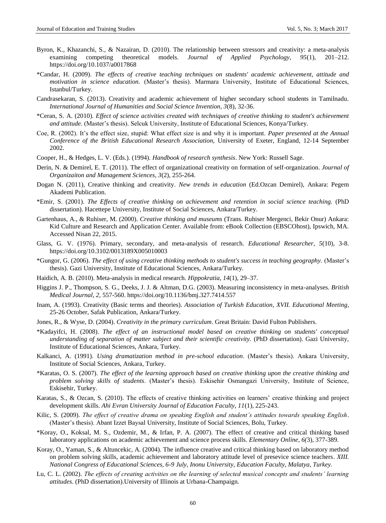- Byron, K., Khazanchi, S., & Nazairan, D. (2010). The relationship between stressors and creativity: a meta-analysis examining competing theoretical models. *Journal of Applied Psychology, 95*(1), 201–212. https://doi.org/10.1037/a0017868
- \*Candar, H. (2009). *The effects of creative teaching techniques on students' academic achievement, attitude and motivation in science education.* (Master's thesis). Marmara University, Institute of Educational Sciences, Istanbul/Turkey.
- Candrasekaran, S. (2013). Creativity and academic achievement of higher secondary school students in Tamilnadu. *International Journal of Humanities and Social Science Invention, 3*(8), 32-36.
- \*Ceran, S. A. (2010). *Effect of science activities created with techniques of creative thinking to student's achievement and attitude.* (Master's thesis). Selcuk University, Institute of Educational Sciences, Konya/Turkey.
- Coe, R. (2002). It's the effect size, stupid: What effect size is and why it is important. *Paper presented at the Annual Conference of the British Educational Research Association,* University of Exeter, England, 12-14 September 2002.
- Cooper, H., & Hedges, L. V. (Eds.). (1994). *Handbook of research synthesis*. New York: Russell Sage.
- Derin, N. & Demirel, E. T. (2011). The effect of organizational creativity on formation of self-organization. *Journal of Organizaiton and Management Sciences, 3*(2), 255-264.
- Dogan N. (2011), Creative thinking and creativity. *New trends in education* (Ed.Ozcan Demirel), Ankara: Pegem Akademi Publication.
- \*Emir, S. (2001). *The Effects of creative thinking on achievement and retention in social science teaching.* (PhD dissertation). Hacettepe University, Institute of Social Sciences, Ankara/Turkey.
- Gartenhaus, A., & Ruhiser, M. (2000). *Creative thinking and museums* (Trans. Ruhiser Mergenci, Bekir Onur) Ankara: Kid Culture and Research and Application Center. Available from: eBook Collection (EBSCOhost), Ipswich, MA. Accessed Nisan 22, 2015.
- Glass, G. V. (1976). Primary, secondary, and meta-analysis of research. *Educational Researcher, 5*(10), 3-8. https://doi.org/10.3102/0013189X005010003
- \*Gungor, G. (2006). *The effect of using creative thinking methods to student's success in teaching geography.* (Master's thesis). Gazi University, Institute of Educational Sciences, Ankara/Turkey.
- Haidich, A. B. (2010). Meta-analysis in medical research. *Hippokratia, 14*(1), 29–37.
- Higgins J. P., Thompson, S. G., Deeks, J. J. & Altman, D.G. (2003). Measuring inconsistency in meta-analyses. *British Medical Journal, 2,* 557-560. https://doi.org/10.1136/bmj.327.7414.557
- Inam, A. (1993). Creativity (Basic terms and theories). *Association of Turkish Education, XVII. Educational Meeting*, 25-26 October, Safak Publication, Ankara/Turkey.
- Jones, R., & Wyse, D. (2004). *Creativity in the primary curriculum*. Great Britain: David Fulton Publishers.
- \*Kadayifci, H. (2008). *The effect of an instructional model based on creative thinking on students' conceptual understanding of separation of matter subject and their scientific creativity.* (PhD dissertation). Gazi University, Institute of Educational Sciences, Ankara, Turkey.
- Kalkanci, A. (1991). *Using dramatization method in pre-school education*. (Master's thesis). Ankara University, Institute of Social Sciences, Ankara, Turkey.
- \*Karatas, O. S. (2007). *The effect of the learning approach based on creative thinking upon the creative thinking and problem solving skills of students*. (Master's thesis). Eskisehir Osmangazi University, Institute of Science, Eskisehir, Turkey.
- Karatas, S., & Ozcan, S. (2010). The effects of creative thinking activities on learners' creative thinking and project development skills. *Ahi Evran University Journal of Education Faculty, 11*(1), 225-243.
- Kilic, S. (2009). *The effect of creative drama on speaking English and student's attitudes towards speaking English*. (Master's thesis). Abant Izzet Baysal University, Institute of Social Sciences, Bolu, Turkey.
- \*Koray, O., Koksal, M. S., Ozdemir, M., & Irfan, P. A. (2007). The effect of creative and critical thinking based laboratory applications on academic achievement and science process skills. *Elementary Online, 6(*3), 377-389.
- Koray, O., Yaman, S., & Altuncekic, A. (2004). The influence creative and critical thinking based on laboratory method on problem solving skills, academic achievement and laboratory attitude level of presevice science teachers. *XIII. National Congress of Educational Sciences, 6-9 July, Inonu University, Education Faculty, Malatya, Turkey.*
- Lu, C. L. (2002). *The effects of creating activities on the learning of selected musical concepts and students' learning attitudes*. (PhD dissertation).University of Illinois at Urbana-Champaign.